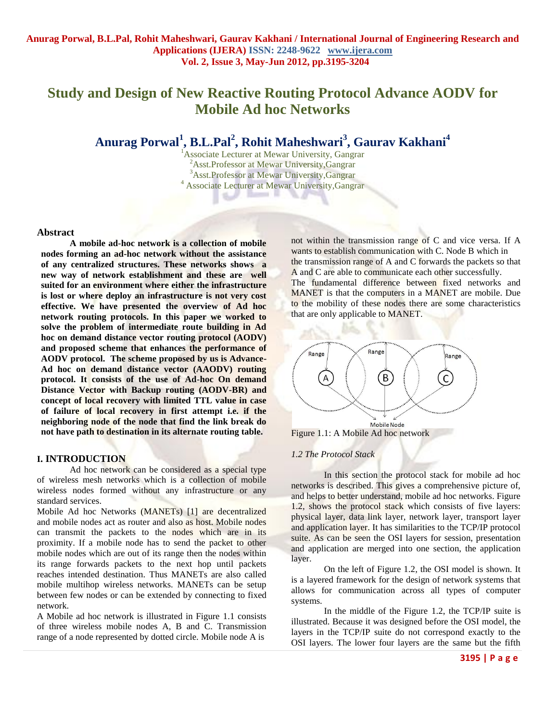# **Study and Design of New Reactive Routing Protocol Advance AODV for Mobile Ad hoc Networks**

# **Anurag Porwal<sup>1</sup> , B.L.Pal<sup>2</sup> , Rohit Maheshwari<sup>3</sup> , Gaurav Kakhani<sup>4</sup>**

<sup>1</sup>Associate Lecturer at Mewar University, Gangrar <sup>2</sup>Asst.Professor at Mewar University, Gangrar <sup>3</sup>Asst.Professor at Mewar University, Gangrar <sup>4</sup> Associate Lecturer at Mewar University,Gangrar

## **Abstract**

**A mobile ad-hoc network is a collection of mobile nodes forming an ad-hoc network without the assistance of any centralized structures. These networks shows a new way of network establishment and these are well suited for an environment where either the infrastructure is lost or where deploy an infrastructure is not very cost effective. We have presented the overview of Ad hoc network routing protocols. In this paper we worked to solve the problem of intermediate route building in Ad hoc on demand distance vector routing protocol (AODV) and proposed scheme that enhances the performance of AODV protocol. The scheme proposed by us is Advance-Ad hoc on demand distance vector (AAODV) routing protocol. It consists of the use of Ad-hoc On demand Distance Vector with Backup routing (AODV-BR) and concept of local recovery with limited TTL value in case of failure of local recovery in first attempt i.e. if the neighboring node of the node that find the link break do not have path to destination in its alternate routing table.**

# **I. INTRODUCTION**

Ad hoc network can be considered as a special type of wireless mesh networks which is a collection of mobile wireless nodes formed without any infrastructure or any standard services.

Mobile Ad hoc Networks (MANETs) [1] are decentralized and mobile nodes act as router and also as host. Mobile nodes can transmit the packets to the nodes which are in its proximity. If a mobile node has to send the packet to other mobile nodes which are out of its range then the nodes within its range forwards packets to the next hop until packets reaches intended destination. Thus MANETs are also called mobile multihop wireless networks. MANETs can be setup between few nodes or can be extended by connecting to fixed network.

A Mobile ad hoc network is illustrated in Figure 1.1 consists of three wireless mobile nodes A, B and C. Transmission range of a node represented by dotted circle. Mobile node A is

not within the transmission range of C and vice versa. If A wants to establish communication with C. Node B which in the transmission range of A and C forwards the packets so that A and C are able to communicate each other successfully.

The fundamental difference between fixed networks and MANET is that the computers in a MANET are mobile. Due to the mobility of these nodes there are some characteristics that are only applicable to MANET.



#### *1.2 The Protocol Stack*

In this section the protocol stack for mobile ad hoc networks is described. This gives a comprehensive picture of, and helps to better understand, mobile ad hoc networks. Figure 1.2, shows the protocol stack which consists of five layers: physical layer, data link layer, network layer, transport layer and application layer. It has similarities to the TCP/IP protocol suite. As can be seen the OSI layers for session, presentation and application are merged into one section, the application layer.

On the left of Figure 1.2, the OSI model is shown. It is a layered framework for the design of network systems that allows for communication across all types of computer systems.

In the middle of the Figure 1.2, the TCP/IP suite is illustrated. Because it was designed before the OSI model, the layers in the TCP/IP suite do not correspond exactly to the OSI layers. The lower four layers are the same but the fifth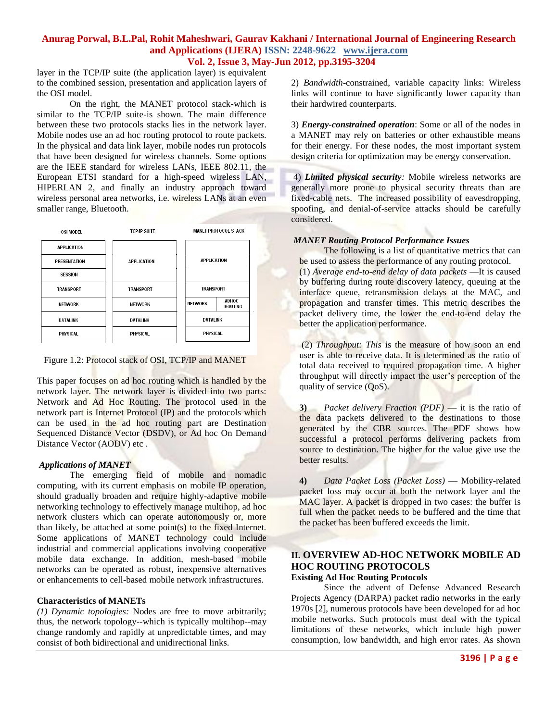layer in the TCP/IP suite (the application layer) is equivalent to the combined session, presentation and application layers of the OSI model.

On the right, the MANET protocol stack-which is similar to the TCP/IP suite-is shown. The main difference between these two protocols stacks lies in the network layer. Mobile nodes use an ad hoc routing protocol to route packets. In the physical and data link layer, mobile nodes run protocols that have been designed for wireless channels. Some options are the IEEE standard for wireless LANs, IEEE 802.11, the European ETSI standard for a high-speed wireless LAN, HIPERLAN 2, and finally an industry approach toward wireless personal area networks, i.e. wireless LANs at an even smaller range, Bluetooth.

| <b>OSI MODEL</b>    | <b>TCP/IP SUITE</b> | <b>MANET PROTOCOL STACK</b> |                         |  |
|---------------------|---------------------|-----------------------------|-------------------------|--|
| <b>APPLICATION</b>  |                     |                             |                         |  |
| <b>PRESENTATION</b> | <b>APPLICATION</b>  | <b>APPLICATION</b>          |                         |  |
| <b>SESSION</b>      |                     |                             |                         |  |
| <b>TRANSPORT</b>    | <b>TRANSPORT</b>    |                             | <b>TRANSPORT</b>        |  |
| <b>NETWORK</b>      | <b>NETWORK</b>      | <b>NETWORK</b>              | ADHOC<br><b>ROUTING</b> |  |
| <b>DATALINK</b>     | <b>DATALINK</b>     |                             | <b>DATALINK</b>         |  |
| <b>PHYSICAL</b>     | PHYSICAL            |                             | <b>PHYSICAL</b>         |  |



This paper focuses on ad hoc routing which is handled by the network layer. The network layer is divided into two parts: Network and Ad Hoc Routing. The protocol used in the network part is Internet Protocol (IP) and the protocols which can be used in the ad hoc routing part are Destination Sequenced Distance Vector (DSDV), or Ad hoc On Demand Distance Vector (AODV) etc.

# *Applications of MANET*

The emerging field of mobile and nomadic computing, with its current emphasis on mobile IP operation, should gradually broaden and require highly-adaptive mobile networking technology to effectively manage multihop, ad hoc network clusters which can operate autonomously or, more than likely, be attached at some point(s) to the fixed Internet. Some applications of MANET technology could include industrial and commercial applications involving cooperative mobile data exchange. In addition, mesh-based mobile networks can be operated as robust, inexpensive alternatives or enhancements to cell-based mobile network infrastructures.

# **Characteristics of MANETs**

*(1) Dynamic topologies:* Nodes are free to move arbitrarily; thus, the network topology--which is typically multihop--may change randomly and rapidly at unpredictable times, and may consist of both bidirectional and unidirectional links.

2) *Bandwidth*-constrained, variable capacity links: Wireless links will continue to have significantly lower capacity than their hardwired counterparts.

3) *Energy-constrained operation*: Some or all of the nodes in a MANET may rely on batteries or other exhaustible means for their energy. For these nodes, the most important system design criteria for optimization may be energy conservation.

4) *Limited physical security:* Mobile wireless networks are generally more prone to physical security threats than are fixed-cable nets. The increased possibility of eavesdropping, spoofing, and denial-of-service attacks should be carefully considered.

# *MANET Routing Protocol Performance Issues*

The following is a list of quantitative metrics that can be used to assess the performance of any routing protocol.

(1) *Average end-to-end delay of data packets* —It is caused by buffering during route discovery latency, queuing at the interface queue, retransmission delays at the MAC, and propagation and transfer times. This metric describes the packet delivery time, the lower the end-to-end delay the better the application performance.

(2) *Throughput: This* is the measure of how soon an end user is able to receive data. It is determined as the ratio of total data received to required propagation time. A higher throughput will directly impact the user's perception of the quality of service (QoS).

**3)** *Packet delivery Fraction (PDF)* — it is the ratio of the data packets delivered to the destinations to those generated by the CBR sources. The PDF shows how successful a protocol performs delivering packets from source to destination. The higher for the value give use the better results.

**4)** *Data Packet Loss (Packet Loss)* — Mobility-related packet loss may occur at both the network layer and the MAC layer. A packet is dropped in two cases: the buffer is full when the packet needs to be buffered and the time that the packet has been buffered exceeds the limit.

# **II. OVERVIEW AD-HOC NETWORK MOBILE AD HOC ROUTING PROTOCOLS Existing Ad Hoc Routing Protocols**

Since the advent of Defense Advanced Research Projects Agency (DARPA) packet radio networks in the early 1970s [2], numerous protocols have been developed for ad hoc mobile networks. Such protocols must deal with the typical limitations of these networks, which include high power consumption, low bandwidth, and high error rates. As shown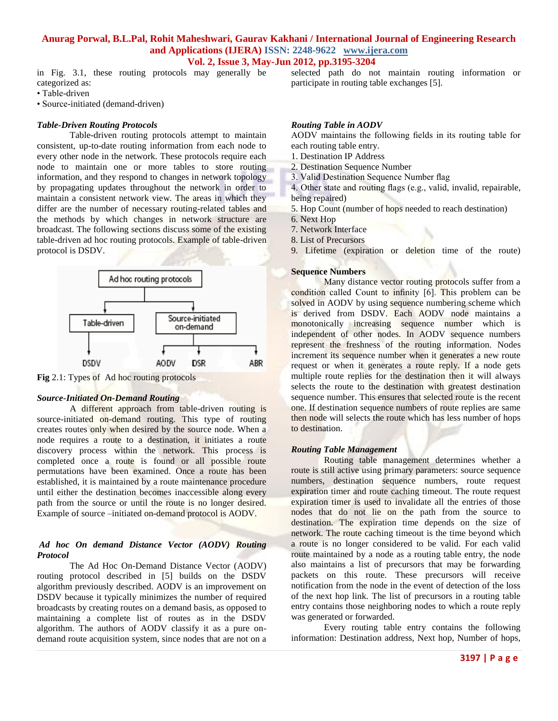in Fig. 3.1, these routing protocols may generally be categorized as:

• Table-driven

• Source-initiated (demand-driven)

### *Table-Driven Routing Protocols*

Table-driven routing protocols attempt to maintain consistent, up-to-date routing information from each node to every other node in the network. These protocols require each node to maintain one or more tables to store routing information, and they respond to changes in network topology by propagating updates throughout the network in order to maintain a consistent network view. The areas in which they differ are the number of necessary routing-related tables and the methods by which changes in network structure are broadcast. The following sections discuss some of the existing table-driven ad hoc routing protocols. Example of table-driven protocol is DSDV.



**Fig** 2.1: Types of Ad hoc routing protocols

#### *Source-Initiated On-Demand Routing*

A different approach from table-driven routing is source-initiated on-demand routing. This type of routing creates routes only when desired by the source node. When a node requires a route to a destination, it initiates a route discovery process within the network. This process is completed once a route is found or all possible route permutations have been examined. Once a route has been established, it is maintained by a route maintenance procedure until either the destination becomes inaccessible along every path from the source or until the route is no longer desired. Example of source –initiated on-demand protocol is AODV.

#### *Ad hoc On demand Distance Vector (AODV) Routing Protocol*

The Ad Hoc On-Demand Distance Vector (AODV) routing protocol described in [5] builds on the DSDV algorithm previously described. AODV is an improvement on DSDV because it typically minimizes the number of required broadcasts by creating routes on a demand basis, as opposed to maintaining a complete list of routes as in the DSDV algorithm. The authors of AODV classify it as a pure ondemand route acquisition system, since nodes that are not on a

selected path do not maintain routing information or participate in routing table exchanges [5].

## *Routing Table in AODV*

AODV maintains the following fields in its routing table for each routing table entry.

- 1. Destination IP Address
- 2. Destination Sequence Number
- 3. Valid Destination Sequence Number flag

4. Other state and routing flags (e.g., valid, invalid, repairable, being repaired)

- 5. Hop Count (number of hops needed to reach destination)
- 6. Next Hop
- 7. Network Interface
- 8. List of Precursors
- 9. Lifetime (expiration or deletion time of the route)

#### **Sequence Numbers**

Many distance vector routing protocols suffer from a condition called Count to infinity [6]. This problem can be solved in AODV by using sequence numbering scheme which is derived from DSDV. Each AODV node maintains a monotonically increasing sequence number which is independent of other nodes. In AODV sequence numbers represent the freshness of the routing information. Nodes increment its sequence number when it generates a new route request or when it generates a route reply. If a node gets multiple route replies for the destination then it will always selects the route to the destination with greatest destination sequence number. This ensures that selected route is the recent one. If destination sequence numbers of route replies are same then node will selects the route which has less number of hops to destination.

#### *Routing Table Management*

Routing table management determines whether a route is still active using primary parameters: source sequence numbers, destination sequence numbers, route request expiration timer and route caching timeout. The route request expiration timer is used to invalidate all the entries of those nodes that do not lie on the path from the source to destination. The expiration time depends on the size of network. The route caching timeout is the time beyond which a route is no longer considered to be valid. For each valid route maintained by a node as a routing table entry, the node also maintains a list of precursors that may be forwarding packets on this route. These precursors will receive notification from the node in the event of detection of the loss of the next hop link. The list of precursors in a routing table entry contains those neighboring nodes to which a route reply was generated or forwarded.

Every routing table entry contains the following information: Destination address, Next hop, Number of hops,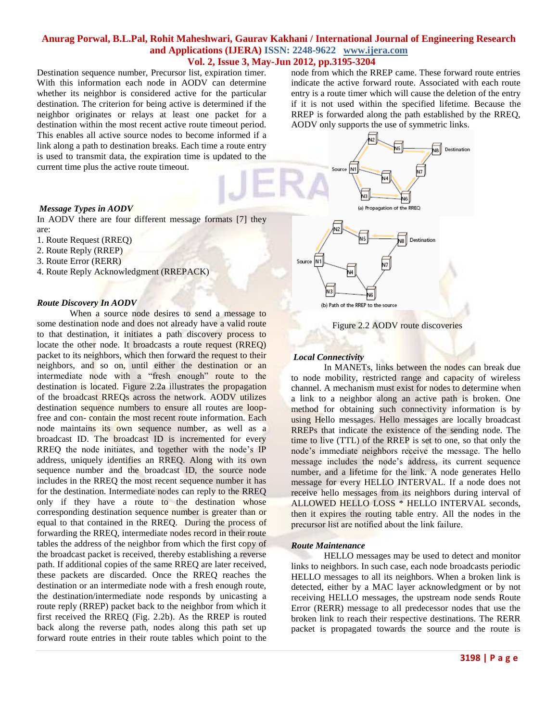Destination sequence number, Precursor list, expiration timer. With this information each node in AODV can determine whether its neighbor is considered active for the particular destination. The criterion for being active is determined if the neighbor originates or relays at least one packet for a destination within the most recent active route timeout period. This enables all active source nodes to become informed if a link along a path to destination breaks. Each time a route entry is used to transmit data, the expiration time is updated to the current time plus the active route timeout.

*Message Types in AODV* 

In AODV there are four different message formats [7] they are:

- 1. Route Request (RREQ)
- 2. Route Reply (RREP)
- 3. Route Error (RERR)
- 4. Route Reply Acknowledgment (RREPACK)

#### *Route Discovery In AODV*

When a source node desires to send a message to some destination node and does not already have a valid route to that destination, it initiates a path discovery process to locate the other node. It broadcasts a route request (RREQ) packet to its neighbors, which then forward the request to their neighbors, and so on, until either the destination or an intermediate node with a "fresh enough" route to the destination is located. Figure 2.2a illustrates the propagation of the broadcast RREQs across the network. AODV utilizes destination sequence numbers to ensure all routes are loopfree and con-contain the most recent route information. Each node maintains its own sequence number, as well as a broadcast ID. The broadcast ID is incremented for every RREQ the node initiates, and together with the node's IP address, uniquely identifies an RREQ. Along with its own sequence number and the broadcast ID, the source node includes in the RREQ the most recent sequence number it has for the destination. Intermediate nodes can reply to the RREQ only if they have a route to the destination whose corresponding destination sequence number is greater than or equal to that contained in the RREQ. During the process of forwarding the RREQ, intermediate nodes record in their route tables the address of the neighbor from which the first copy of the broadcast packet is received, thereby establishing a reverse path. If additional copies of the same RREQ are later received, these packets are discarded. Once the RREQ reaches the destination or an intermediate node with a fresh enough route, the destination/intermediate node responds by unicasting a route reply (RREP) packet back to the neighbor from which it first received the RREQ (Fig. 2.2b). As the RREP is routed back along the reverse path, nodes along this path set up forward route entries in their route tables which point to the node from which the RREP came. These forward route entries indicate the active forward route. Associated with each route entry is a route timer which will cause the deletion of the entry if it is not used within the specified lifetime. Because the RREP is forwarded along the path established by the RREQ, AODV only supports the use of symmetric links.



Figure 2.2 AODV route discoveries

#### *Local Connectivity*

In MANETs, links between the nodes can break due to node mobility, restricted range and capacity of wireless channel. A mechanism must exist for nodes to determine when a link to a neighbor along an active path is broken. One method for obtaining such connectivity information is by using Hello messages. Hello messages are locally broadcast RREPs that indicate the existence of the sending node. The time to live (TTL) of the RREP is set to one, so that only the node's immediate neighbors receive the message. The hello message includes the node's address, its current sequence number, and a lifetime for the link. A node generates Hello message for every HELLO INTERVAL. If a node does not receive hello messages from its neighbors during interval of ALLOWED HELLO LOSS \* HELLO INTERVAL seconds, then it expires the routing table entry. All the nodes in the precursor list are notified about the link failure.

#### *Route Maintenance*

HELLO messages may be used to detect and monitor links to neighbors. In such case, each node broadcasts periodic HELLO messages to all its neighbors. When a broken link is detected, either by a MAC layer acknowledgment or by not receiving HELLO messages, the upstream node sends Route Error (RERR) message to all predecessor nodes that use the broken link to reach their respective destinations. The RERR packet is propagated towards the source and the route is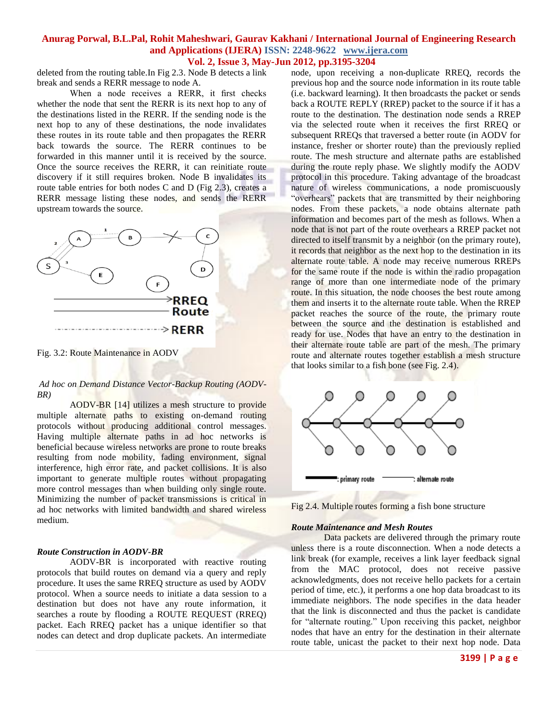deleted from the routing table.In Fig 2.3. Node B detects a link break and sends a RERR message to node A.

When a node receives a RERR, it first checks whether the node that sent the RERR is its next hop to any of the destinations listed in the RERR. If the sending node is the next hop to any of these destinations, the node invalidates these routes in its route table and then propagates the RERR back towards the source. The RERR continues to be forwarded in this manner until it is received by the source. Once the source receives the RERR, it can reinitiate route discovery if it still requires broken. Node B invalidates its route table entries for both nodes C and D (Fig 2.3), creates a RERR message listing these nodes, and sends the RERR upstream towards the source.



Fig. 3.2: Route Maintenance in AODV

## *Ad hoc on Demand Distance Vector-Backup Routing (AODV-BR)*

AODV-BR [14] utilizes a mesh structure to provide multiple alternate paths to existing on-demand routing protocols without producing additional control messages. Having multiple alternate paths in ad hoc networks is beneficial because wireless networks are prone to route breaks resulting from node mobility, fading environment, signal interference, high error rate, and packet collisions. It is also important to generate multiple routes without propagating more control messages than when building only single route. Minimizing the number of packet transmissions is critical in ad hoc networks with limited bandwidth and shared wireless medium.

#### *Route Construction in AODV-BR*

AODV-BR is incorporated with reactive routing protocols that build routes on demand via a query and reply procedure. It uses the same RREQ structure as used by AODV protocol. When a source needs to initiate a data session to a destination but does not have any route information, it searches a route by flooding a ROUTE REQUEST (RREQ) packet. Each RREQ packet has a unique identifier so that nodes can detect and drop duplicate packets. An intermediate node, upon receiving a non-duplicate RREQ, records the previous hop and the source node information in its route table (i.e. backward learning). It then broadcasts the packet or sends back a ROUTE REPLY (RREP) packet to the source if it has a route to the destination. The destination node sends a RREP via the selected route when it receives the first RREQ or subsequent RREQs that traversed a better route (in AODV for instance, fresher or shorter route) than the previously replied route. The mesh structure and alternate paths are established during the route reply phase. We slightly modify the AODV protocol in this procedure. Taking advantage of the broadcast nature of wireless communications, a node promiscuously "overhears" packets that are transmitted by their neighboring nodes. From these packets, a node obtains alternate path information and becomes part of the mesh as follows. When a node that is not part of the route overhears a RREP packet not directed to itself transmit by a neighbor (on the primary route), it records that neighbor as the next hop to the destination in its alternate route table. A node may receive numerous RREPs for the same route if the node is within the radio propagation range of more than one intermediate node of the primary route. In this situation, the node chooses the best route among them and inserts it to the alternate route table. When the RREP packet reaches the source of the route, the primary route between the source and the destination is established and ready for use. Nodes that have an entry to the destination in their alternate route table are part of the mesh. The primary route and alternate routes together establish a mesh structure that looks similar to a fish bone (see Fig. 2.4).





#### *Route Maintenance and Mesh Routes*

Data packets are delivered through the primary route unless there is a route disconnection. When a node detects a link break (for example, receives a link layer feedback signal from the MAC protocol, does not receive passive acknowledgments, does not receive hello packets for a certain period of time, etc.), it performs a one hop data broadcast to its immediate neighbors. The node specifies in the data header that the link is disconnected and thus the packet is candidate for "alternate routing." Upon receiving this packet, neighbor nodes that have an entry for the destination in their alternate route table, unicast the packet to their next hop node. Data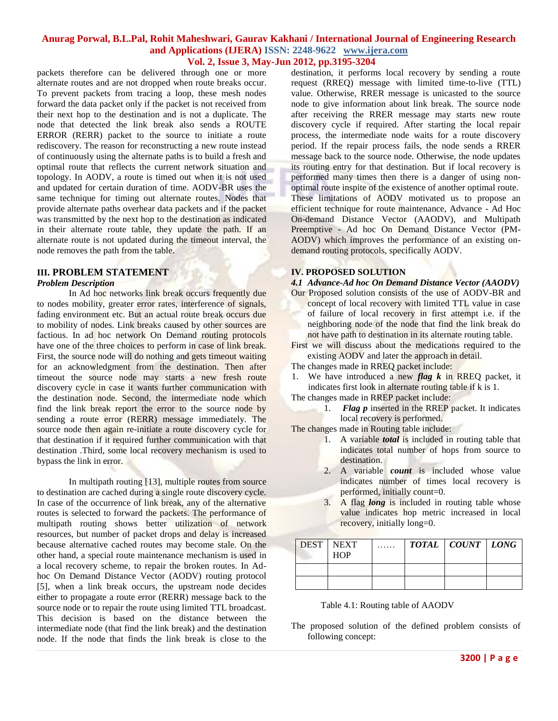packets therefore can be delivered through one or more alternate routes and are not dropped when route breaks occur. To prevent packets from tracing a loop, these mesh nodes forward the data packet only if the packet is not received from their next hop to the destination and is not a duplicate. The node that detected the link break also sends a ROUTE ERROR (RERR) packet to the source to initiate a route rediscovery. The reason for reconstructing a new route instead of continuously using the alternate paths is to build a fresh and optimal route that reflects the current network situation and topology. In AODV, a route is timed out when it is not used and updated for certain duration of time. AODV-BR uses the same technique for timing out alternate routes. Nodes that provide alternate paths overhear data packets and if the packet was transmitted by the next hop to the destination as indicated in their alternate route table, they update the path. If an alternate route is not updated during the timeout interval, the node removes the path from the table.

## **III. PROBLEM STATEMENT**

#### *Problem Description*

 In Ad hoc networks link break occurs frequently due to nodes mobility, greater error rates, interference of signals, fading environment etc. But an actual route break occurs due to mobility of nodes. Link breaks caused by other sources are factious. In ad hoc network On Demand routing protocols have one of the three choices to perform in case of link break. First, the source node will do nothing and gets timeout waiting for an acknowledgment from the destination. Then after timeout the source node may starts a new fresh route discovery cycle in case it wants further communication with the destination node. Second, the intermediate node which find the link break report the error to the source node by sending a route error (RERR) message immediately. The source node then again re-initiate a route discovery cycle for that destination if it required further communication with that destination .Third, some local recovery mechanism is used to bypass the link in error.

 In multipath routing [13], multiple routes from source to destination are cached during a single route discovery cycle. In case of the occurrence of link break, any of the alternative routes is selected to forward the packets. The performance of multipath routing shows better utilization of network resources, but number of packet drops and delay is increased because alternative cached routes may become stale. On the other hand, a special route maintenance mechanism is used in a local recovery scheme, to repair the broken routes. In Adhoc On Demand Distance Vector (AODV) routing protocol [5], when a link break occurs, the upstream node decides either to propagate a route error (RERR) message back to the source node or to repair the route using limited TTL broadcast. This decision is based on the distance between the intermediate node (that find the link break) and the destination node. If the node that finds the link break is close to the

destination, it performs local recovery by sending a route request (RREQ) message with limited time-to-live (TTL) value. Otherwise, RRER message is unicasted to the source node to give information about link break. The source node after receiving the RRER message may starts new route discovery cycle if required. After starting the local repair process, the intermediate node waits for a route discovery period. If the repair process fails, the node sends a RRER message back to the source node. Otherwise, the node updates its routing entry for that destination. But if local recovery is performed many times then there is a danger of using nonoptimal route inspite of the existence of another optimal route. These limitations of AODV motivated us to propose an efficient technique for route maintenance, Advance - Ad Hoc On-demand Distance Vector (AAODV), and Multipath Preemptive - Ad hoc On Demand Distance Vector (PM-AODV) which improves the performance of an existing ondemand routing protocols, specifically AODV.

#### **IV. PROPOSED SOLUTION**

*4.1 Advance-Ad hoc On Demand Distance Vector (AAODV)*

- Our Proposed solution consists of the use of AODV-BR and concept of local recovery with limited TTL value in case of failure of local recovery in first attempt i.e. if the neighboring node of the node that find the link break do not have path to destination in its alternate routing table.
- First we will discuss about the medications required to the existing AODV and later the approach in detail.

The changes made in RREQ packet include:

1. We have introduced a new *flag k* in RREQ packet, it indicates first look in alternate routing table if k is 1.

The changes made in RREP packet include:

1. *Flag p* inserted in the RREP packet. It indicates local recovery is performed.

The changes made in Routing table include:

- 1. A variable *total* is included in routing table that indicates total number of hops from source to destination.
- 2. A variable *count* is included whose value indicates number of times local recovery is performed, initially count=0.
- 3. A flag *long* is included in routing table whose value indicates hop metric increased in local recovery, initially long=0.

| <b>DEST NEXT</b> | <b>HOP</b> |  | TOTAL   COUNT   LONG |  |
|------------------|------------|--|----------------------|--|
|                  |            |  |                      |  |
|                  |            |  |                      |  |

Table 4.1: Routing table of AAODV

The proposed solution of the defined problem consists of following concept: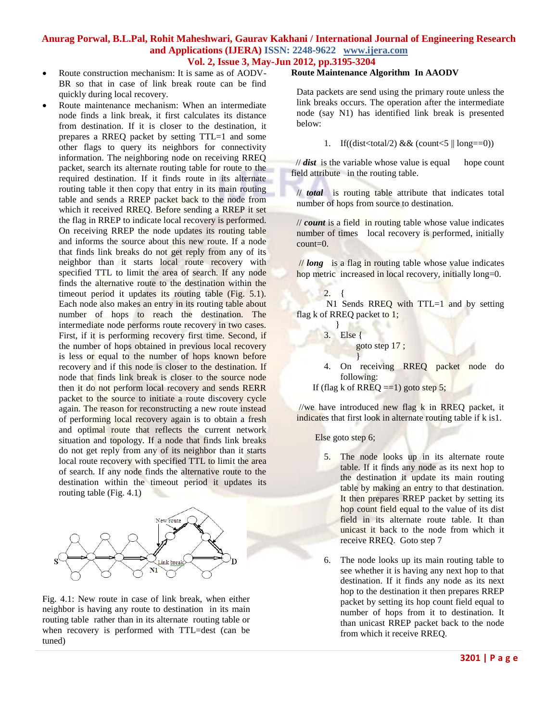- Route construction mechanism: It is same as of AODV-BR so that in case of link break route can be find quickly during local recovery.
- Route maintenance mechanism: When an intermediate node finds a link break, it first calculates its distance from destination. If it is closer to the destination, it prepares a RREQ packet by setting TTL=1 and some other flags to query its neighbors for connectivity information. The neighboring node on receiving RREQ packet, search its alternate routing table for route to the required destination. If it finds route in its alternate routing table it then copy that entry in its main routing table and sends a RREP packet back to the node from which it received RREQ. Before sending a RREP it set the flag in RREP to indicate local recovery is performed. On receiving RREP the node updates its routing table and informs the source about this new route. If a node that finds link breaks do not get reply from any of its neighbor than it starts local route recovery with specified TTL to limit the area of search. If any node finds the alternative route to the destination within the timeout period it updates its routing table (Fig. 5.1). Each node also makes an entry in its routing table about number of hops to reach the destination. The intermediate node performs route recovery in two cases. First, if it is performing recovery first time. Second, if the number of hops obtained in previous local recovery is less or equal to the number of hops known before recovery and if this node is closer to the destination. If node that finds link break is closer to the source node then it do not perform local recovery and sends RERR packet to the source to initiate a route discovery cycle again. The reason for reconstructing a new route instead of performing local recovery again is to obtain a fresh and optimal route that reflects the current network situation and topology. If a node that finds link breaks do not get reply from any of its neighbor than it starts local route recovery with specified TTL to limit the area of search. If any node finds the alternative route to the destination within the timeout period it updates its routing table (Fig. 4.1)



Fig. 4.1: New route in case of link break, when either neighbor is having any route to destination in its main routing table rather than in its alternate routing table or when recovery is performed with TTL=dest (can be tuned)

### **Route Maintenance Algorithm In AAODV**

Data packets are send using the primary route unless the link breaks occurs. The operation after the intermediate node (say N1) has identified link break is presented below:

1. If  $((dist < total/2) \& \& (count < 5 \parallel long == 0))$ 

// *dist* is the variable whose value is equal hope count field attribute in the routing table.

// *total* is routing table attribute that indicates total number of hops from source to destination.

// *count* is a field in routing table whose value indicates number of times local recovery is performed, initially count=0.

// *long* is a flag in routing table whose value indicates hop metric increased in local recovery, initially long=0.

2. {

N1 Sends RREQ with TTL=1 and by setting flag k of RREQ packet to 1;

- } 3. Else { goto step 17 ; *}* 
	- 4. On receiving RREQ packet node do following:
	- If (flag k of RREQ  $==1$ ) goto step 5;

//we have introduced new flag k in RREQ packet, it indicates that first look in alternate routing table if k is1.

Else goto step 6;

- 5. The node looks up in its alternate route table. If it finds any node as its next hop to the destination it update its main routing table by making an entry to that destination. It then prepares RREP packet by setting its hop count field equal to the value of its dist field in its alternate route table. It than unicast it back to the node from which it receive RREQ. Goto step 7
- 6. The node looks up its main routing table to see whether it is having any next hop to that destination. If it finds any node as its next hop to the destination it then prepares RREP packet by setting its hop count field equal to number of hops from it to destination. It than unicast RREP packet back to the node from which it receive RREQ.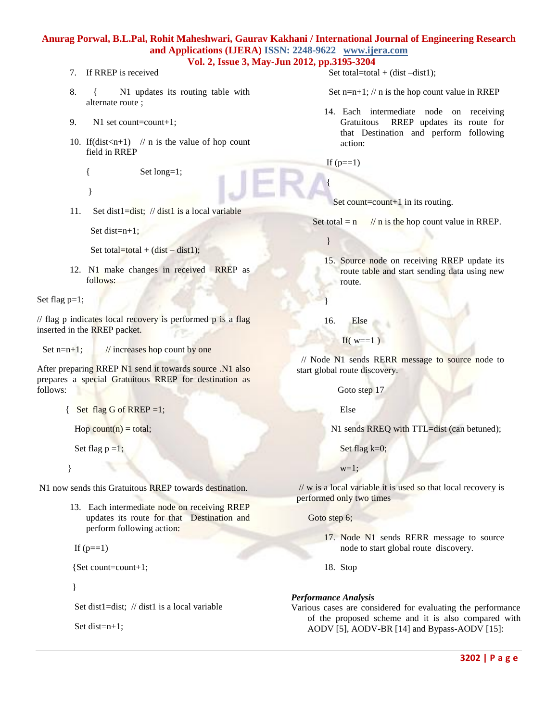- 7. If RREP is received
- 8. { N1 updates its routing table with alternate route ;
- 9. N1 set count=count+1;
- 10. If(dist  $\langle n+1 \rangle$  // n is the value of hop count field in RREP
	- { Set long=1;

}

- 11. Set dist $1 = \text{dist}$ ; // dist $1$  is a local variable
	- Set dist= $n+1$ ;

Set total=total + (dist  $-$  dist1);

12. N1 make changes in received RREP as follows:

Set flag p=1;

// flag p indicates local recovery is performed p is a flag inserted in the RREP packet.

Set n=n+1;  $\frac{1}{2}$  // increases hop count by one

After preparing RREP N1 send it towards source .N1 also prepares a special Gratuitous RREP for destination as follows:

 $\{$  Set flag G of RREP =1;

Hop count $(n)$  = total;

Set flag  $p = 1$ ;

}

N1 now sends this Gratuitous RREP towards destination.

13. Each intermediate node on receiving RREP updates its route for that Destination and perform following action:

```
If (p==1)
```

```
 {Set count=count+1;
```
}

Set dist1=dist; // dist1 is a local variable

Set dist=n+1;

Set total=total + (dist  $-dist1$ );

Set  $n=n+1$ ; // n is the hop count value in RREP

14. Each intermediate node on receiving Gratuitous RREP updates its route for that Destination and perform following action:

If  $(p == 1)$ 

Set count=count+1 in its routing.

Set total =  $n$  // n is the hop count value in RREP.

}

 $\left\{\begin{array}{ccc} \end{array}\right\}$ 

 $\mathcal{L}$ 

- 15. Source node on receiving RREP update its route table and start sending data using new route.
- 16. Else

If( $w == 1$ )

 // Node N1 sends RERR message to source node to start global route discovery.

Goto step 17

Else

N1 sends RREQ with TTL=dist (can betuned);

Set flag k=0;

 $w=1$ ;

// w is a local variable it is used so that local recovery is performed only two times

Goto step 6;

- 17. Node N1 sends RERR message to source node to start global route discovery.
- 18. Stop

#### *Performance Analysis*

Various cases are considered for evaluating the performance of the proposed scheme and it is also compared with AODV [5], AODV-BR [14] and Bypass-AODV [15]: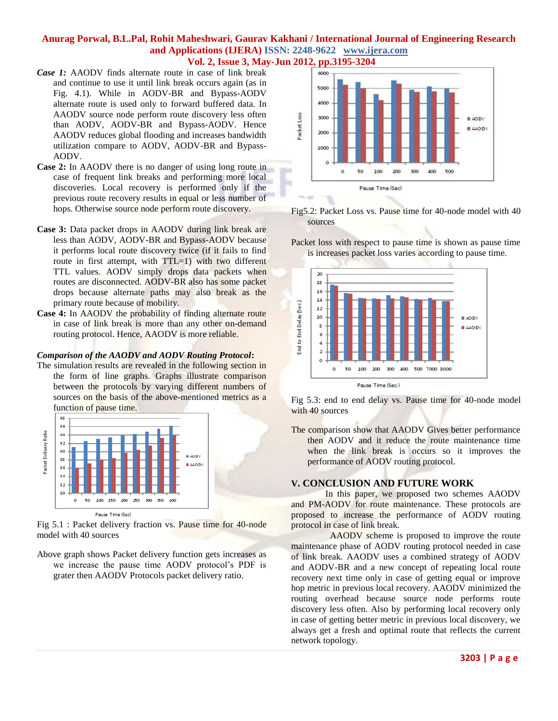- *Case 1:* AAODV finds alternate route in case of link break and continue to use it until link break occurs again (as in Fig. 4.1). While in AODV-BR and Bypass-AODV alternate route is used only to forward buffered data. In AAODV source node perform route discovery less often than AODV, AODV-BR and Bypass-AODV. Hence AAODV reduces global flooding and increases bandwidth utilization compare to AODV, AODV-BR and Bypass-AODV.
- **Case 2:** In AAODV there is no danger of using long route in case of frequent link breaks and performing more local discoveries. Local recovery is performed only if the previous route recovery results in equal or less number of hops. Otherwise source node perform route discovery.
- **Case 3:** Data packet drops in AAODV during link break are less than AODV, AODV-BR and Bypass-AODV because it performs local route discovery twice (if it fails to find route in first attempt, with TTL=1) with two different TTL values. AODV simply drops data packets when routes are disconnected. AODV-BR also has some packet drops because alternate paths may also break as the primary route because of mobility.
- **Case 4:** In AAODV the probability of finding alternate route in case of link break is more than any other on-demand routing protocol. Hence, AAODV is more reliable.

# *Comparison of the AAODV and AODV Routing Protocol***:**

The simulation results are revealed in the following section in the form of line graphs. Graphs illustrate comparison between the protocols by varying different numbers of sources on the basis of the above-mentioned metrics as a function of pause time.



Fig 5.1 : Packet delivery fraction vs. Pause time for 40-node model with 40 sources

Above graph shows Packet delivery function gets increases as we increase the pause time AODV protocol's PDF is grater then AAODV Protocols packet delivery ratio.



Fig5.2: Packet Loss vs. Pause time for 40-node model with 40 sources

Packet loss with respect to pause time is shown as pause time is increases packet loss varies according to pause time.



Fig 5.3: end to end delay vs. Pause time for 40-node model with 40 sources

The comparison show that AAODV Gives better performance then AODV and it reduce the route maintenance time when the link break is occurs so it improves the performance of AODV routing protocol.

### **V. CONCLUSION AND FUTURE WORK**

 In this paper, we proposed two schemes AAODV and PM-AODV for route maintenance. These protocols are proposed to increase the performance of AODV routing protocol in case of link break.

 AAODV scheme is proposed to improve the route maintenance phase of AODV routing protocol needed in case of link break. AAODV uses a combined strategy of AODV and AODV-BR and a new concept of repeating local route recovery next time only in case of getting equal or improve hop metric in previous local recovery. AAODV minimized the routing overhead because source node performs route discovery less often. Also by performing local recovery only in case of getting better metric in previous local discovery, we always get a fresh and optimal route that reflects the current network topology.